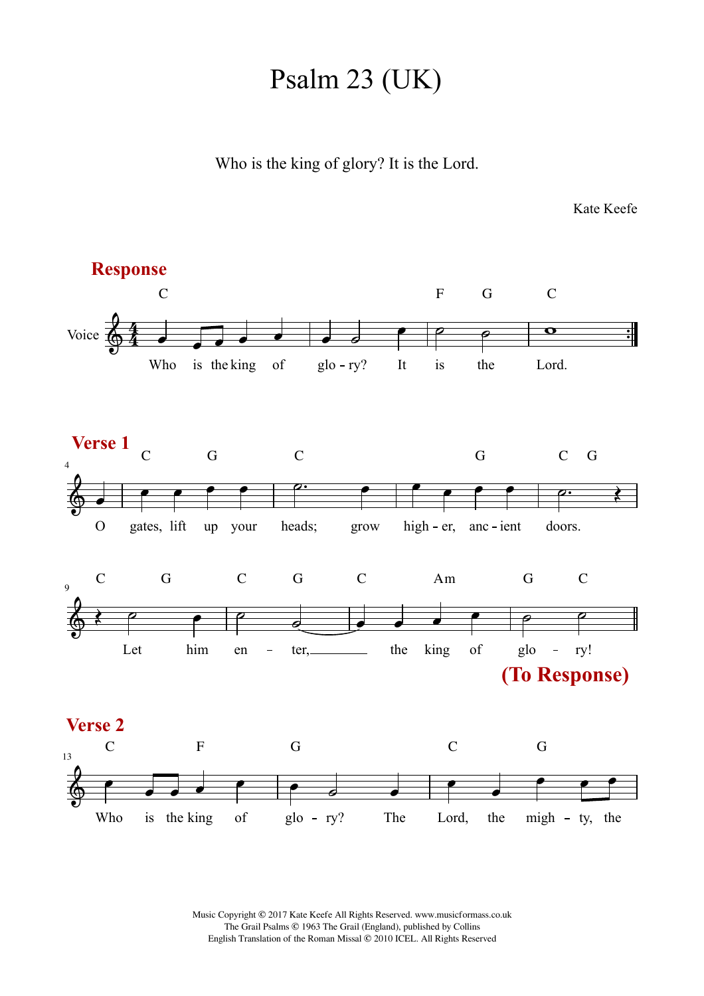## Psalm 23 (UK)

Who is the king of glory? It is the Lord.

Kate Keefe



Music Copyright © 2017 Kate Keefe All Rights Reserved. www.musicformass.co.uk The Grail Psalms © 1963 The Grail (England), published by Collins English Translation of the Roman Missal © 2010 ICEL. All Rights Reserved